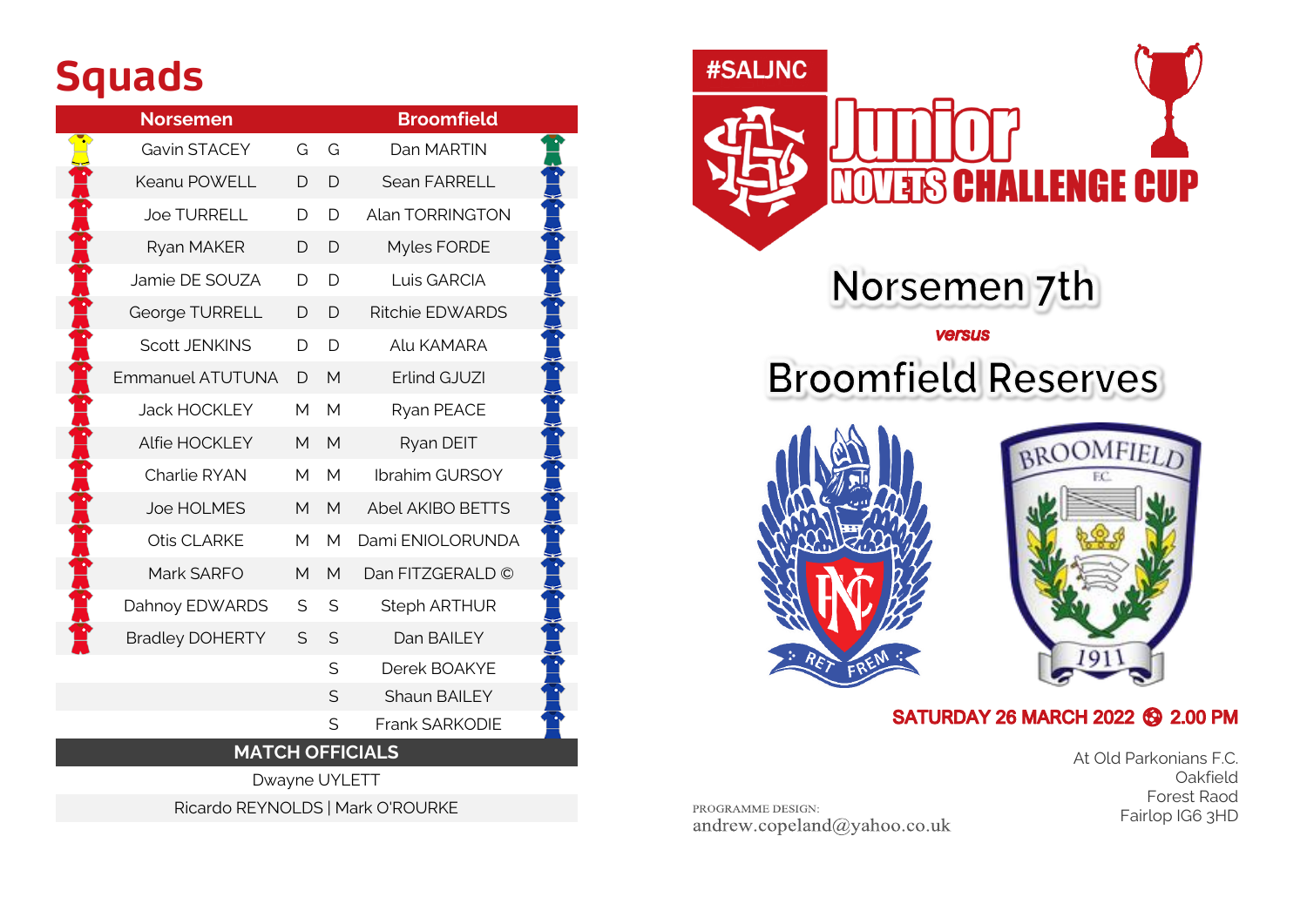# **Squads**

|                        | <b>Norsemen</b>         |   | <b>Broomfield</b> |                         |  |  |  |  |
|------------------------|-------------------------|---|-------------------|-------------------------|--|--|--|--|
|                        | Gavin STACEY            | G | G                 | Dan MARTIN              |  |  |  |  |
|                        | Keanu POWELL            | D | D                 | Sean FARRELL            |  |  |  |  |
|                        | <b>Joe TURRELL</b>      | D | D                 | Alan TORRINGTON         |  |  |  |  |
|                        | Ryan MAKER              | D | D                 | Myles FORDE             |  |  |  |  |
|                        | Jamie DE SOUZA          | D | D                 | Luis GARCIA             |  |  |  |  |
|                        | George TURRELL          | D | D                 | <b>Ritchie EDWARDS</b>  |  |  |  |  |
|                        | <b>Scott JENKINS</b>    | D | D                 | Alu KAMARA              |  |  |  |  |
|                        | <b>Emmanuel ATUTUNA</b> | D | M                 | Erlind GJUZI            |  |  |  |  |
|                        | <b>Jack HOCKLEY</b>     | М | М                 | Ryan PEACE              |  |  |  |  |
|                        | Alfie HOCKLEY           | M | M                 | Ryan DEIT               |  |  |  |  |
|                        | Charlie RYAN            | M | M                 | Ibrahim GURSOY          |  |  |  |  |
|                        | Joe HOLMES              | M | M                 | <b>Abel AKIBO BETTS</b> |  |  |  |  |
|                        | Otis CLARKE             | M | M                 | Dami ENIOLORUNDA        |  |  |  |  |
|                        | Mark SARFO              | M | M                 | Dan FITZGERALD ©        |  |  |  |  |
|                        | Dahnoy EDWARDS          | S | S                 | <b>Steph ARTHUR</b>     |  |  |  |  |
|                        | <b>Bradley DOHERTY</b>  | S | S                 | Dan BAILEY              |  |  |  |  |
|                        |                         |   | S                 | Derek BOAKYE            |  |  |  |  |
|                        |                         |   | S                 | <b>Shaun BAILEY</b>     |  |  |  |  |
|                        |                         |   | S                 | Frank SARKODIE          |  |  |  |  |
| <b>MATCH OFFICIALS</b> |                         |   |                   |                         |  |  |  |  |
| Dwayne UYLETT          |                         |   |                   |                         |  |  |  |  |





# **Broomfield Reserves**





#### SATURDAY 26 MARCH 2022 **6** 2.00 PM

At Old Parkonians F.C. Oakfield Forest Raod Fairlop IG6 3HD

PROGRAMME DESIGN: andrew.copeland@yahoo.co.uk